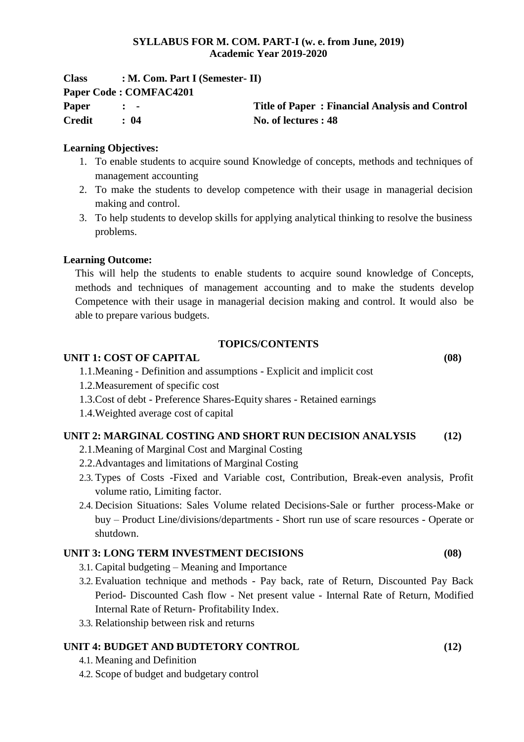## **SYLLABUS FOR M. COM. PART-I (w. e. from June, 2019) Academic Year 2019-2020**

| <b>Class</b> | $: M. Com. Part I (Semester-II)$ |                                                |
|--------------|----------------------------------|------------------------------------------------|
|              | Paper Code: COMFAC4201           |                                                |
| Paper        | $\mathbf{r}$ $\mathbf{r}$        | Title of Paper: Financial Analysis and Control |
| Credit       | : 04                             | No. of lectures : 48                           |

## **Learning Objectives:**

- 1. To enable students to acquire sound Knowledge of concepts, methods and techniques of management accounting
- 2. To make the students to develop competence with their usage in managerial decision making and control.
- 3. To help students to develop skills for applying analytical thinking to resolve the business problems.

## **Learning Outcome:**

This will help the students to enable students to acquire sound knowledge of Concepts, methods and techniques of management accounting and to make the students develop Competence with their usage in managerial decision making and control. It would also be able to prepare various budgets.

#### **TOPICS/CONTENTS**

## **UNIT 1: COST OF CAPITAL (08)**

- 1.1.Meaning Definition and assumptions Explicit and implicit cost
- 1.2.Measurement of specific cost
- 1.3.Cost of debt Preference Shares-Equity shares Retained earnings
- 1.4.Weighted average cost of capital

# **UNIT 2: MARGINAL COSTING AND SHORT RUN DECISION ANALYSIS (12)**

- 2.1.Meaning of Marginal Cost and Marginal Costing
- 2.2.Advantages and limitations of Marginal Costing
- 2.3. Types of Costs -Fixed and Variable cost, Contribution, Break-even analysis, Profit volume ratio, Limiting factor.
- 2.4. Decision Situations: Sales Volume related Decisions-Sale or further process-Make or buy – Product Line/divisions/departments - Short run use of scare resources - Operate or shutdown.

## **UNIT 3: LONG TERM INVESTMENT DECISIONS (08)**

- 3.1. Capital budgeting Meaning and Importance
- 3.2. Evaluation technique and methods Pay back, rate of Return, Discounted Pay Back Period- Discounted Cash flow - Net present value - Internal Rate of Return, Modified Internal Rate of Return- Profitability Index.
- 3.3. Relationship between risk and returns

# **UNIT 4: BUDGET AND BUDTETORY CONTROL (12)**

- 4.1. Meaning and Definition
- 4.2. Scope of budget and budgetary control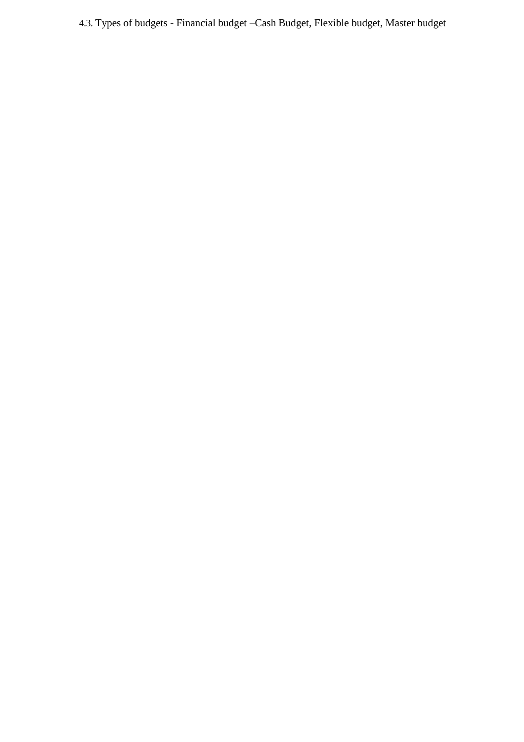4.3. Types of budgets - Financial budget –Cash Budget, Flexible budget, Master budget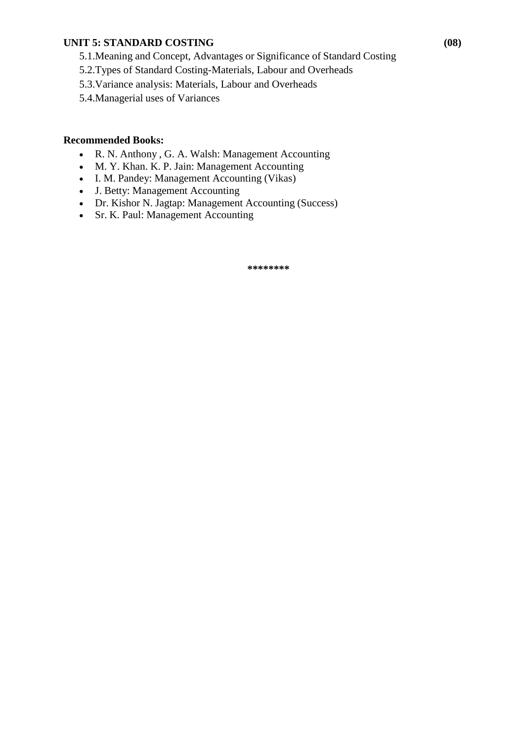## **UNIT 5: STANDARD COSTING (08)**

- 5.1.Meaning and Concept, Advantages or Significance of Standard Costing
- 5.2.Types of Standard Costing-Materials, Labour and Overheads
- 5.3.Variance analysis: Materials, Labour and Overheads
- 5.4.Managerial uses of Variances

## **Recommended Books:**

- R. N. Anthony , G. A. Walsh: Management Accounting
- M. Y. Khan. K. P. Jain: Management Accounting
- I. M. Pandey: Management Accounting (Vikas)
- J. Betty: Management Accounting
- Dr. Kishor N. Jagtap: Management Accounting (Success)
- Sr. K. Paul: Management Accounting

**\*\*\*\*\*\*\*\***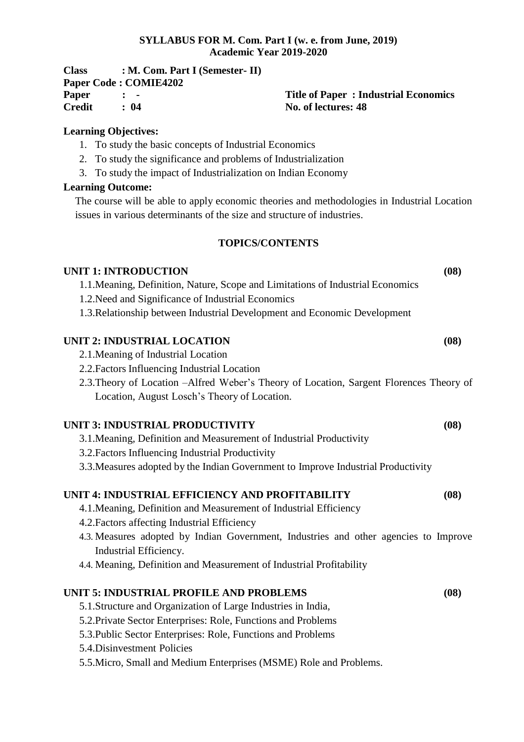## **SYLLABUS FOR M. Com. Part I (w. e. from June, 2019) Academic Year 2019-2020**

| <b>Class</b> | $: M. Com. Part I (Semester-II)$ |                                             |
|--------------|----------------------------------|---------------------------------------------|
|              | <b>Paper Code : COMIE4202</b>    |                                             |
| Paper        |                                  | <b>Title of Paper: Industrial Economics</b> |
| Credit       | $\cdot$ 04                       | No. of lectures: 48                         |

## **Learning Objectives:**

- 1. To study the basic concepts of Industrial Economics
- 2. To study the significance and problems of Industrialization
- 3. To study the impact of Industrialization on Indian Economy

# **Learning Outcome:**

The course will be able to apply economic theories and methodologies in Industrial Location issues in various determinants of the size and structure of industries.

## **TOPICS/CONTENTS**

## **UNIT 1: INTRODUCTION (08)**

1.1.Meaning, Definition, Nature, Scope and Limitations of Industrial Economics

- 1.2.Need and Significance of Industrial Economics
- 1.3.Relationship between Industrial Development and Economic Development

# **UNIT 2: INDUSTRIAL LOCATION (08)**

- 2.1.Meaning of Industrial Location
- 2.2.Factors Influencing Industrial Location
- 2.3.Theory of Location –Alfred Weber's Theory of Location, Sargent Florences Theory of Location, August Losch's Theory of Location.

# **UNIT 3: INDUSTRIAL PRODUCTIVITY (08)**

- 3.1.Meaning, Definition and Measurement of Industrial Productivity
- 3.2.Factors Influencing Industrial Productivity
- 3.3.Measures adopted by the Indian Government to Improve Industrial Productivity

# **UNIT 4: INDUSTRIAL EFFICIENCY AND PROFITABILITY (08)**

- 4.1.Meaning, Definition and Measurement of Industrial Efficiency
- 4.2.Factors affecting Industrial Efficiency
- 4.3. Measures adopted by Indian Government, Industries and other agencies to Improve Industrial Efficiency.
- 4.4. Meaning, Definition and Measurement of Industrial Profitability

# **UNIT 5: INDUSTRIAL PROFILE AND PROBLEMS (08)**

- 5.1.Structure and Organization of Large Industries in India,
- 5.2.Private Sector Enterprises: Role, Functions and Problems
- 5.3.Public Sector Enterprises: Role, Functions and Problems
- 5.4.Disinvestment Policies
- 5.5.Micro, Small and Medium Enterprises (MSME) Role and Problems.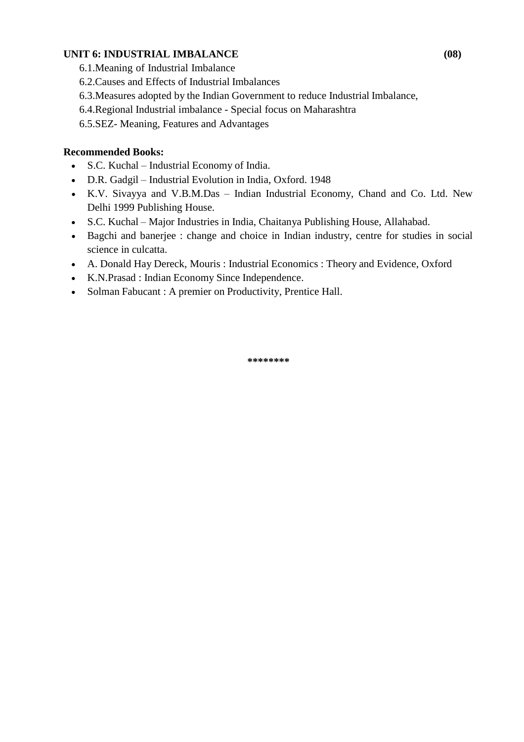# **UNIT 6: INDUSTRIAL IMBALANCE (08)**

- 6.1.Meaning of Industrial Imbalance
- 6.2.Causes and Effects of Industrial Imbalances
- 6.3.Measures adopted by the Indian Government to reduce Industrial Imbalance,
- 6.4.Regional Industrial imbalance Special focus on Maharashtra
- 6.5.SEZ- Meaning, Features and Advantages

# **Recommended Books:**

- S.C. Kuchal Industrial Economy of India.
- D.R. Gadgil Industrial Evolution in India, Oxford. 1948
- K.V. Sivayya and V.B.M.Das Indian Industrial Economy, Chand and Co. Ltd. New Delhi 1999 Publishing House.
- S.C. Kuchal Major Industries in India, Chaitanya Publishing House, Allahabad.
- Bagchi and banerjee : change and choice in Indian industry, centre for studies in social science in culcatta.
- A. Donald Hay Dereck, Mouris : Industrial Economics : Theory and Evidence, Oxford
- K.N.Prasad : Indian Economy Since Independence.
- Solman Fabucant : A premier on Productivity, Prentice Hall.

**\*\*\*\*\*\*\*\***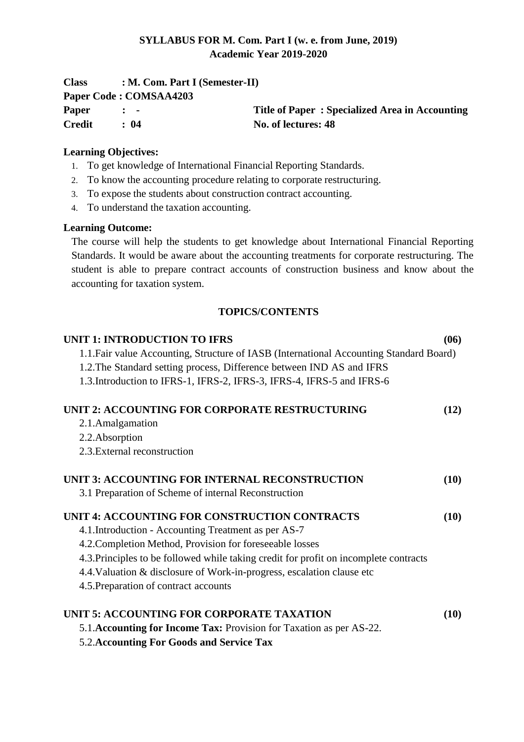# **SYLLABUS FOR M. Com. Part I (w. e. from June, 2019) Academic Year 2019-2020**

| <b>Class</b>  | $: M. Com. Part I (Semester-II)$ |                                                |
|---------------|----------------------------------|------------------------------------------------|
|               | Paper Code: COMSAA4203           |                                                |
| <b>Paper</b>  | $\mathbf{r}$ $\mathbf{r}$        | Title of Paper: Specialized Area in Accounting |
| <b>Credit</b> | : 04                             | No. of lectures: 48                            |

# **Learning Objectives:**

- 1. To get knowledge of International Financial Reporting Standards.
- 2. To know the accounting procedure relating to corporate restructuring.
- 3. To expose the students about construction contract accounting.
- 4. To understand the taxation accounting.

## **Learning Outcome:**

The course will help the students to get knowledge about International Financial Reporting Standards. It would be aware about the accounting treatments for corporate restructuring. The student is able to prepare contract accounts of construction business and know about the accounting for taxation system.

## **TOPICS/CONTENTS**

| <b>UNIT 1: INTRODUCTION TO IFRS</b>                                                     | (06) |
|-----------------------------------------------------------------------------------------|------|
| 1.1. Fair value Accounting, Structure of IASB (International Accounting Standard Board) |      |
| 1.2. The Standard setting process, Difference between IND AS and IFRS                   |      |
| 1.3. Introduction to IFRS-1, IFRS-2, IFRS-3, IFRS-4, IFRS-5 and IFRS-6                  |      |
| UNIT 2: ACCOUNTING FOR CORPORATE RESTRUCTURING                                          | (12) |
| 2.1. Amalgamation                                                                       |      |
| 2.2. Absorption                                                                         |      |
| 2.3. External reconstruction                                                            |      |
| UNIT 3: ACCOUNTING FOR INTERNAL RECONSTRUCTION                                          | (10) |
| 3.1 Preparation of Scheme of internal Reconstruction                                    |      |
| UNIT 4: ACCOUNTING FOR CONSTRUCTION CONTRACTS                                           | (10) |
| 4.1. Introduction - Accounting Treatment as per AS-7                                    |      |
| 4.2. Completion Method, Provision for foreseeable losses                                |      |
| 4.3. Principles to be followed while taking credit for profit on incomplete contracts   |      |
| 4.4. Valuation & disclosure of Work-in-progress, escalation clause etc                  |      |
| 4.5. Preparation of contract accounts                                                   |      |
| UNIT 5: ACCOUNTING FOR CORPORATE TAXATION                                               | (10) |
| 5.1. Accounting for Income Tax: Provision for Taxation as per AS-22.                    |      |
| <b>5.2. Accounting For Goods and Service Tax</b>                                        |      |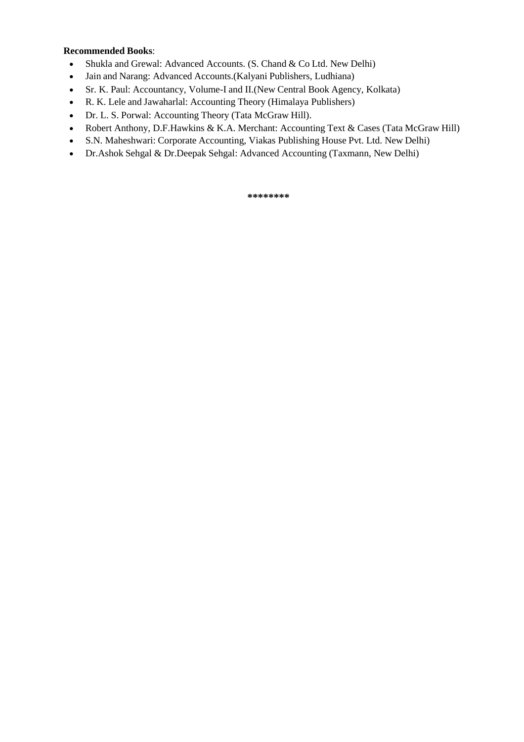#### **Recommended Books**:

- Shukla and Grewal: Advanced Accounts. (S. Chand & Co Ltd. New Delhi)
- Jain and Narang: Advanced Accounts.(Kalyani Publishers, Ludhiana)
- Sr. K. Paul: Accountancy, Volume-I and II.(New Central Book Agency, Kolkata)
- R. K. Lele and Jawaharlal: Accounting Theory (Himalaya Publishers)
- Dr. L. S. Porwal: Accounting Theory (Tata McGraw Hill).
- Robert Anthony, D.F.Hawkins & K.A. Merchant: Accounting Text & Cases (Tata McGraw Hill)
- S.N. Maheshwari: Corporate Accounting, Viakas Publishing House Pvt. Ltd. New Delhi)
- Dr.Ashok Sehgal & Dr.Deepak Sehgal: Advanced Accounting (Taxmann, New Delhi)

**\*\*\*\*\*\*\*\***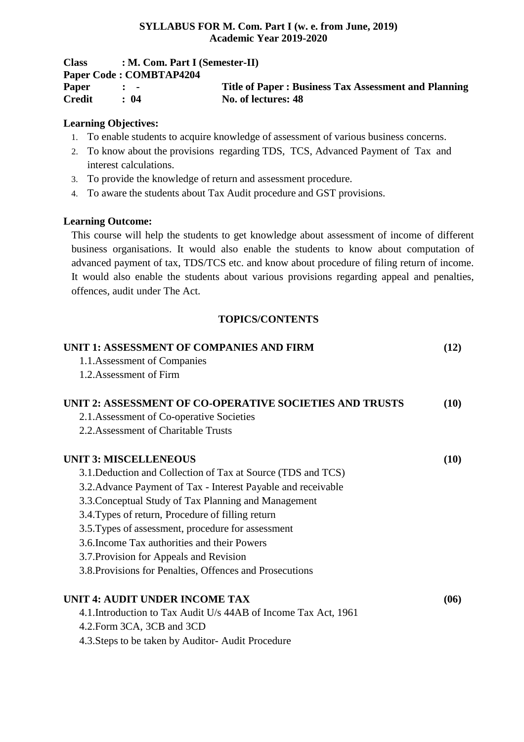## **SYLLABUS FOR M. Com. Part I (w. e. from June, 2019) Academic Year 2019-2020**

| <b>Class</b>  |                           | $: M. Com. Part I (Semester-II)$                            |  |  |
|---------------|---------------------------|-------------------------------------------------------------|--|--|
|               | Paper Code: COMBTAP4204   |                                                             |  |  |
| Paper         | $\mathbf{r}$ $\mathbf{r}$ | <b>Title of Paper: Business Tax Assessment and Planning</b> |  |  |
| <b>Credit</b> | $\cdot$ 04                | No. of lectures: 48                                         |  |  |

## **Learning Objectives:**

- 1. To enable students to acquire knowledge of assessment of various business concerns.
- 2. To know about the provisions regarding TDS, TCS, Advanced Payment of Tax and interest calculations.
- 3. To provide the knowledge of return and assessment procedure.
- 4. To aware the students about Tax Audit procedure and GST provisions.

## **Learning Outcome:**

This course will help the students to get knowledge about assessment of income of different business organisations. It would also enable the students to know about computation of advanced payment of tax, TDS/TCS etc. and know about procedure of filing return of income. It would also enable the students about various provisions regarding appeal and penalties, offences, audit under The Act.

# **TOPICS/CONTENTS**

| UNIT 1: ASSESSMENT OF COMPANIES AND FIRM                        | (12) |
|-----------------------------------------------------------------|------|
| 1.1. Assessment of Companies                                    |      |
| 1.2. Assessment of Firm                                         |      |
| UNIT 2: ASSESSMENT OF CO-OPERATIVE SOCIETIES AND TRUSTS         | (10) |
| 2.1. Assessment of Co-operative Societies                       |      |
| 2.2. Assessment of Charitable Trusts                            |      |
| <b>UNIT 3: MISCELLENEOUS</b>                                    | (10) |
| 3.1. Deduction and Collection of Tax at Source (TDS and TCS)    |      |
| 3.2. Advance Payment of Tax - Interest Payable and receivable   |      |
| 3.3. Conceptual Study of Tax Planning and Management            |      |
| 3.4. Types of return, Procedure of filling return               |      |
| 3.5. Types of assessment, procedure for assessment              |      |
| 3.6. Income Tax authorities and their Powers                    |      |
| 3.7. Provision for Appeals and Revision                         |      |
| 3.8. Provisions for Penalties, Offences and Prosecutions        |      |
| UNIT 4: AUDIT UNDER INCOME TAX                                  | (06) |
| 4.1. Introduction to Tax Audit U/s 44AB of Income Tax Act, 1961 |      |
| 4.2. Form 3CA, 3CB and 3CD                                      |      |
| 4.3. Steps to be taken by Auditor-Audit Procedure               |      |